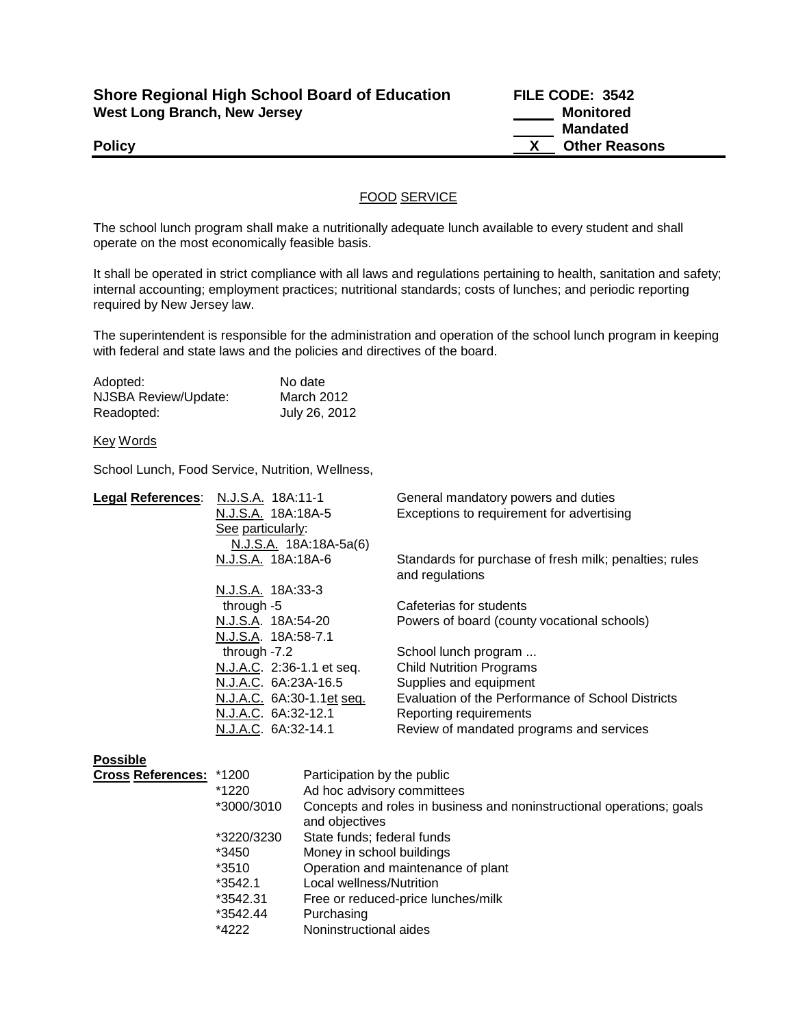| <b>Shore Regional High School Board of Education</b> |  |
|------------------------------------------------------|--|
| <b>West Long Branch, New Jersey</b>                  |  |

**Shore Regional High School Board of Education FILE CODE: 3542 Monitored Mandated Policy CONSERVANTS Policy CONSERVANTS CONSERVANTS CONSERVANTS CONSERVANTS CONSERVANTS CONSERVANTS** 

## FOOD SERVICE

The school lunch program shall make a nutritionally adequate lunch available to every student and shall operate on the most economically feasible basis.

It shall be operated in strict compliance with all laws and regulations pertaining to health, sanitation and safety; internal accounting; employment practices; nutritional standards; costs of lunches; and periodic reporting required by New Jersey law.

The superintendent is responsible for the administration and operation of the school lunch program in keeping with federal and state laws and the policies and directives of the board.

| Adopted:             | No date       |
|----------------------|---------------|
| NJSBA Review/Update: | March 2012    |
| Readopted:           | July 26, 2012 |

## Key Words

School Lunch, Food Service, Nutrition, Wellness,

| <b>Legal References:</b> | N.J.S.A. 18A:11-1                |                             | General mandatory powers and duties                                       |  |
|--------------------------|----------------------------------|-----------------------------|---------------------------------------------------------------------------|--|
|                          | N.J.S.A. 18A:18A-5               |                             | Exceptions to requirement for advertising                                 |  |
|                          | See particularly:                |                             |                                                                           |  |
|                          |                                  | N.J.S.A. 18A:18A-5a(6)      |                                                                           |  |
|                          | N.J.S.A. 18A:18A-6               |                             | Standards for purchase of fresh milk; penalties; rules<br>and regulations |  |
|                          | N.J.S.A. 18A:33-3                |                             |                                                                           |  |
|                          | through -5                       |                             | Cafeterias for students                                                   |  |
| N.J.S.A. 18A:54-20       |                                  |                             | Powers of board (county vocational schools)                               |  |
|                          | N.J.S.A. 18A:58-7.1              |                             |                                                                           |  |
| through -7.2             |                                  |                             | School lunch program                                                      |  |
|                          | N.J.A.C. 2:36-1.1 et seq.        |                             | <b>Child Nutrition Programs</b>                                           |  |
|                          | N.J.A.C. 6A:23A-16.5             |                             | Supplies and equipment                                                    |  |
|                          | <u>N.J.A.C.</u> 6A:30-1.1et seq. |                             | Evaluation of the Performance of School Districts                         |  |
|                          | N.J.A.C. 6A:32-12.1              |                             | Reporting requirements                                                    |  |
|                          | N.J.A.C. 6A:32-14.1              |                             | Review of mandated programs and services                                  |  |
| <b>Possible</b>          |                                  |                             |                                                                           |  |
| <b>Cross References:</b> | *1200                            | Participation by the public |                                                                           |  |
|                          | *1220                            | Ad hoc advisory committees  |                                                                           |  |
|                          | *3000/3010                       |                             | Concepts and roles in business and noninstructional operations; goals     |  |
|                          |                                  | and objectives              |                                                                           |  |
|                          | *3220/3230                       | State funds; federal funds  |                                                                           |  |
|                          | *3450                            | Money in school buildings   |                                                                           |  |
|                          | *3510                            |                             | Operation and maintenance of plant                                        |  |
|                          | *3542.1                          | Local wellness/Nutrition    |                                                                           |  |
|                          | *3542.31                         |                             | Free or reduced-price lunches/milk                                        |  |
|                          | *3542.44                         | Purchasing                  |                                                                           |  |
|                          | *4222                            | Noninstructional aides      |                                                                           |  |